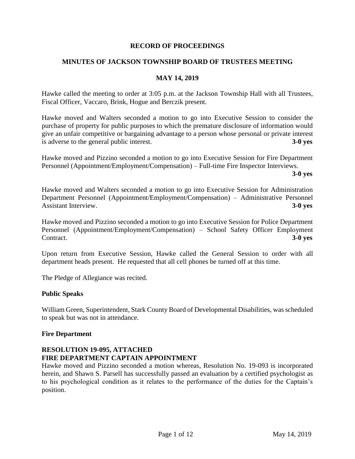#### **RECORD OF PROCEEDINGS**

### **MINUTES OF JACKSON TOWNSHIP BOARD OF TRUSTEES MEETING**

#### **MAY 14, 2019**

Hawke called the meeting to order at 3:05 p.m. at the Jackson Township Hall with all Trustees, Fiscal Officer, Vaccaro, Brink, Hogue and Berczik present.

Hawke moved and Walters seconded a motion to go into Executive Session to consider the purchase of property for public purposes to which the premature disclosure of information would give an unfair competitive or bargaining advantage to a person whose personal or private interest is adverse to the general public interest. **3-0 yes**

Hawke moved and Pizzino seconded a motion to go into Executive Session for Fire Department Personnel (Appointment/Employment/Compensation) – Full-time Fire Inspector Interviews.

**3-0 yes**

Hawke moved and Walters seconded a motion to go into Executive Session for Administration Department Personnel (Appointment/Employment/Compensation) – Administrative Personnel Assistant Interview. **3-0 yes**

Hawke moved and Pizzino seconded a motion to go into Executive Session for Police Department Personnel (Appointment/Employment/Compensation) – School Safety Officer Employment Contract. **3-0 yes**

Upon return from Executive Session, Hawke called the General Session to order with all department heads present. He requested that all cell phones be turned off at this time.

The Pledge of Allegiance was recited.

#### **Public Speaks**

William Green, Superintendent, Stark County Board of Developmental Disabilities, was scheduled to speak but was not in attendance.

#### **Fire Department**

### **RESOLUTION 19-095, ATTACHED FIRE DEPARTMENT CAPTAIN APPOINTMENT**

Hawke moved and Pizzino seconded a motion whereas, Resolution No. 19-093 is incorporated herein, and Shawn S. Parsell has successfully passed an evaluation by a certified psychologist as to his psychological condition as it relates to the performance of the duties for the Captain's position.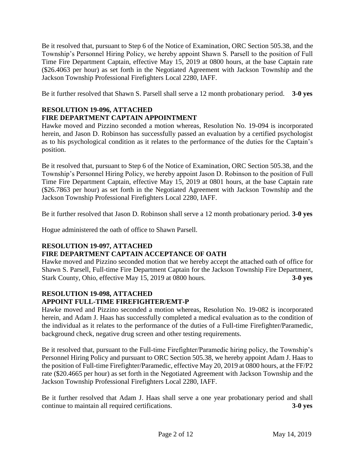Be it resolved that, pursuant to Step 6 of the Notice of Examination, ORC Section 505.38, and the Township's Personnel Hiring Policy, we hereby appoint Shawn S. Parsell to the position of Full Time Fire Department Captain, effective May 15, 2019 at 0800 hours, at the base Captain rate (\$26.4063 per hour) as set forth in the Negotiated Agreement with Jackson Township and the Jackson Township Professional Firefighters Local 2280, IAFF.

Be it further resolved that Shawn S. Parsell shall serve a 12 month probationary period. **3-0 yes**

### **RESOLUTION 19-096, ATTACHED FIRE DEPARTMENT CAPTAIN APPOINTMENT**

Hawke moved and Pizzino seconded a motion whereas, Resolution No. 19-094 is incorporated herein, and Jason D. Robinson has successfully passed an evaluation by a certified psychologist as to his psychological condition as it relates to the performance of the duties for the Captain's position.

Be it resolved that, pursuant to Step 6 of the Notice of Examination, ORC Section 505.38, and the Township's Personnel Hiring Policy, we hereby appoint Jason D. Robinson to the position of Full Time Fire Department Captain, effective May 15, 2019 at 0801 hours, at the base Captain rate (\$26.7863 per hour) as set forth in the Negotiated Agreement with Jackson Township and the Jackson Township Professional Firefighters Local 2280, IAFF.

Be it further resolved that Jason D. Robinson shall serve a 12 month probationary period. **3-0 yes**

Hogue administered the oath of office to Shawn Parsell.

### **RESOLUTION 19-097, ATTACHED**

### **FIRE DEPARTMENT CAPTAIN ACCEPTANCE OF OATH**

Hawke moved and Pizzino seconded motion that we hereby accept the attached oath of office for Shawn S. Parsell, Full-time Fire Department Captain for the Jackson Township Fire Department, Stark County, Ohio, effective May 15, 2019 at 0800 hours. **3-0 yes**

## **RESOLUTION 19-098, ATTACHED APPOINT FULL-TIME FIREFIGHTER/EMT-P**

Hawke moved and Pizzino seconded a motion whereas, Resolution No. 19-082 is incorporated herein, and Adam J. Haas has successfully completed a medical evaluation as to the condition of the individual as it relates to the performance of the duties of a Full-time Firefighter/Paramedic, background check, negative drug screen and other testing requirements.

Be it resolved that, pursuant to the Full-time Firefighter/Paramedic hiring policy, the Township's Personnel Hiring Policy and pursuant to ORC Section 505.38, we hereby appoint Adam J. Haas to the position of Full-time Firefighter/Paramedic, effective May 20, 2019 at 0800 hours, at the FF/P2 rate (\$20.4665 per hour) as set forth in the Negotiated Agreement with Jackson Township and the Jackson Township Professional Firefighters Local 2280, IAFF.

Be it further resolved that Adam J. Haas shall serve a one year probationary period and shall continue to maintain all required certifications. **3-0 yes**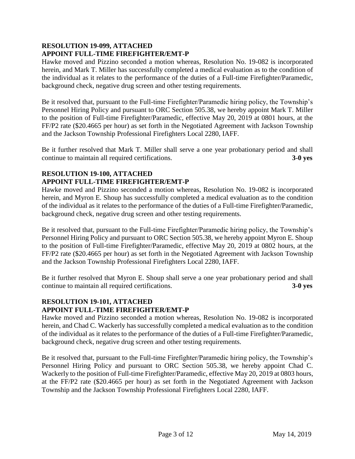### **RESOLUTION 19-099, ATTACHED APPOINT FULL-TIME FIREFIGHTER/EMT-P**

Hawke moved and Pizzino seconded a motion whereas, Resolution No. 19-082 is incorporated herein, and Mark T. Miller has successfully completed a medical evaluation as to the condition of the individual as it relates to the performance of the duties of a Full-time Firefighter/Paramedic, background check, negative drug screen and other testing requirements.

Be it resolved that, pursuant to the Full-time Firefighter/Paramedic hiring policy, the Township's Personnel Hiring Policy and pursuant to ORC Section 505.38, we hereby appoint Mark T. Miller to the position of Full-time Firefighter/Paramedic, effective May 20, 2019 at 0801 hours, at the FF/P2 rate (\$20.4665 per hour) as set forth in the Negotiated Agreement with Jackson Township and the Jackson Township Professional Firefighters Local 2280, IAFF.

Be it further resolved that Mark T. Miller shall serve a one year probationary period and shall continue to maintain all required certifications. **3-0 yes**

# **RESOLUTION 19-100, ATTACHED APPOINT FULL-TIME FIREFIGHTER/EMT-P**

Hawke moved and Pizzino seconded a motion whereas, Resolution No. 19-082 is incorporated herein, and Myron E. Shoup has successfully completed a medical evaluation as to the condition of the individual as it relates to the performance of the duties of a Full-time Firefighter/Paramedic, background check, negative drug screen and other testing requirements.

Be it resolved that, pursuant to the Full-time Firefighter/Paramedic hiring policy, the Township's Personnel Hiring Policy and pursuant to ORC Section 505.38, we hereby appoint Myron E. Shoup to the position of Full-time Firefighter/Paramedic, effective May 20, 2019 at 0802 hours, at the FF/P2 rate (\$20.4665 per hour) as set forth in the Negotiated Agreement with Jackson Township and the Jackson Township Professional Firefighters Local 2280, IAFF.

Be it further resolved that Myron E. Shoup shall serve a one year probationary period and shall continue to maintain all required certifications. **3-0 yes**

### **RESOLUTION 19-101, ATTACHED APPOINT FULL-TIME FIREFIGHTER/EMT-P**

Hawke moved and Pizzino seconded a motion whereas, Resolution No. 19-082 is incorporated herein, and Chad C. Wackerly has successfully completed a medical evaluation as to the condition of the individual as it relates to the performance of the duties of a Full-time Firefighter/Paramedic, background check, negative drug screen and other testing requirements.

Be it resolved that, pursuant to the Full-time Firefighter/Paramedic hiring policy, the Township's Personnel Hiring Policy and pursuant to ORC Section 505.38, we hereby appoint Chad C. Wackerly to the position of Full-time Firefighter/Paramedic, effective May 20, 2019 at 0803 hours, at the FF/P2 rate (\$20.4665 per hour) as set forth in the Negotiated Agreement with Jackson Township and the Jackson Township Professional Firefighters Local 2280, IAFF.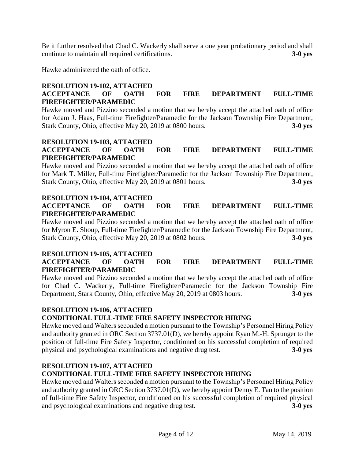Be it further resolved that Chad C. Wackerly shall serve a one year probationary period and shall continue to maintain all required certifications. **3-0 yes**

Hawke administered the oath of office.

### **RESOLUTION 19-102, ATTACHED ACCEPTANCE OF OATH FOR FIRE DEPARTMENT FULL-TIME FIREFIGHTER/PARAMEDIC**

Hawke moved and Pizzino seconded a motion that we hereby accept the attached oath of office for Adam J. Haas, Full-time Firefighter/Paramedic for the Jackson Township Fire Department, Stark County, Ohio, effective May 20, 2019 at 0800 hours. **3-0 yes**

#### **RESOLUTION 19-103, ATTACHED ACCEPTANCE OF OATH FOR FIRE DEPARTMENT FULL-TIME FIREFIGHTER/PARAMEDIC**

Hawke moved and Pizzino seconded a motion that we hereby accept the attached oath of office for Mark T. Miller, Full-time Firefighter/Paramedic for the Jackson Township Fire Department, Stark County, Ohio, effective May 20, 2019 at 0801 hours. **3-0 yes**

## **RESOLUTION 19-104, ATTACHED**

**ACCEPTANCE OF OATH FOR FIRE DEPARTMENT FULL-TIME FIREFIGHTER/PARAMEDIC**

Hawke moved and Pizzino seconded a motion that we hereby accept the attached oath of office for Myron E. Shoup, Full-time Firefighter/Paramedic for the Jackson Township Fire Department, Stark County, Ohio, effective May 20, 2019 at 0802 hours. **3-0 yes**

### **RESOLUTION 19-105, ATTACHED**

## **ACCEPTANCE OF OATH FOR FIRE DEPARTMENT FULL-TIME FIREFIGHTER/PARAMEDIC**

Hawke moved and Pizzino seconded a motion that we hereby accept the attached oath of office for Chad C. Wackerly, Full-time Firefighter/Paramedic for the Jackson Township Fire Department, Stark County, Ohio, effective May 20, 2019 at 0803 hours. **3-0 yes**

### **RESOLUTION 19-106, ATTACHED**

# **CONDITIONAL FULL-TIME FIRE SAFETY INSPECTOR HIRING**

Hawke moved and Walters seconded a motion pursuant to the Township's Personnel Hiring Policy and authority granted in ORC Section 3737.01(D), we hereby appoint Ryan M.-H. Sprunger to the position of full-time Fire Safety Inspector, conditioned on his successful completion of required physical and psychological examinations and negative drug test. **3-0 yes**

# **RESOLUTION 19-107, ATTACHED**

# **CONDITIONAL FULL-TIME FIRE SAFETY INSPECTOR HIRING**

Hawke moved and Walters seconded a motion pursuant to the Township's Personnel Hiring Policy and authority granted in ORC Section 3737.01(D), we hereby appoint Denny E. Tan to the position of full-time Fire Safety Inspector, conditioned on his successful completion of required physical and psychological examinations and negative drug test. **3-0 yes**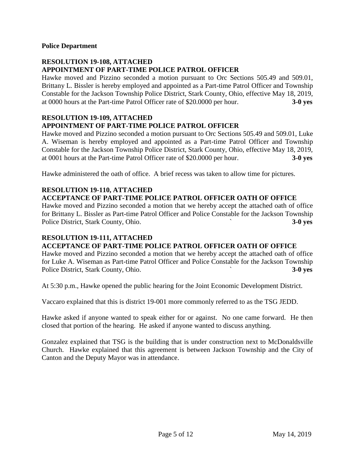#### **Police Department**

### **RESOLUTION 19-108, ATTACHED APPOINTMENT OF PART-TIME POLICE PATROL OFFICER**

Hawke moved and Pizzino seconded a motion pursuant to Orc Sections 505.49 and 509.01, Brittany L. Bissler is hereby employed and appointed as a Part-time Patrol Officer and Township Constable for the Jackson Township Police District, Stark County, Ohio, effective May 18, 2019, at 0000 hours at the Part-time Patrol Officer rate of \$20.0000 per hour. **3-0 yes**

#### **RESOLUTION 19-109, ATTACHED APPOINTMENT OF PART-TIME POLICE PATROL OFFICER**

Hawke moved and Pizzino seconded a motion pursuant to Orc Sections 505.49 and 509.01, Luke A. Wiseman is hereby employed and appointed as a Part-time Patrol Officer and Township Constable for the Jackson Township Police District, Stark County, Ohio, effective May 18, 2019, at 0001 hours at the Part-time Patrol Officer rate of \$20.0000 per hour. **3-0 yes**

Hawke administered the oath of office. A brief recess was taken to allow time for pictures.

#### **RESOLUTION 19-110, ATTACHED ACCEPTANCE OF PART-TIME POLICE PATROL OFFICER OATH OF OFFICE**

Hawke moved and Pizzino seconded a motion that we hereby accept the attached oath of office for Brittany L. Bissler as Part-time Patrol Officer and Police Constable for the Jackson Township Police District, Stark County, Ohio. **3-0 yes** 

# **RESOLUTION 19-111, ATTACHED**

# **ACCEPTANCE OF PART-TIME POLICE PATROL OFFICER OATH OF OFFICE**

Hawke moved and Pizzino seconded a motion that we hereby accept the attached oath of office for Luke A. Wiseman as Part-time Patrol Officer and Police Constable for the Jackson Township Police District, Stark County, Ohio. **3-0 yes** 

At 5:30 p.m., Hawke opened the public hearing for the Joint Economic Development District.

Vaccaro explained that this is district 19-001 more commonly referred to as the TSG JEDD.

Hawke asked if anyone wanted to speak either for or against. No one came forward. He then closed that portion of the hearing. He asked if anyone wanted to discuss anything.

Gonzalez explained that TSG is the building that is under construction next to McDonaldsville Church. Hawke explained that this agreement is between Jackson Township and the City of Canton and the Deputy Mayor was in attendance.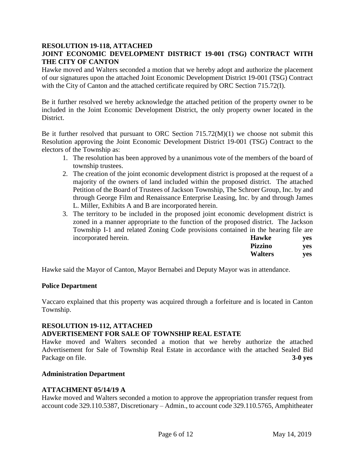### **RESOLUTION 19-118, ATTACHED JOINT ECONOMIC DEVELOPMENT DISTRICT 19-001 (TSG) CONTRACT WITH THE CITY OF CANTON**

Hawke moved and Walters seconded a motion that we hereby adopt and authorize the placement of our signatures upon the attached Joint Economic Development District 19-001 (TSG) Contract with the City of Canton and the attached certificate required by ORC Section 715.72(I).

Be it further resolved we hereby acknowledge the attached petition of the property owner to be included in the Joint Economic Development District, the only property owner located in the District.

Be it further resolved that pursuant to ORC Section 715.72(M)(1) we choose not submit this Resolution approving the Joint Economic Development District 19-001 (TSG) Contract to the electors of the Township as:

- 1. The resolution has been approved by a unanimous vote of the members of the board of township trustees.
- 2. The creation of the joint economic development district is proposed at the request of a majority of the owners of land included within the proposed district. The attached Petition of the Board of Trustees of Jackson Township, The Schroer Group, Inc. by and through George Film and Renaissance Enterprise Leasing, Inc. by and through James L. Miller, Exhibits A and B are incorporated herein.
- 3. The territory to be included in the proposed joint economic development district is zoned in a manner appropriate to the function of the proposed district. The Jackson Township I-1 and related Zoning Code provisions contained in the hearing file are incorporated herein. **Hawke yes**

| Pizzino        | yes |
|----------------|-----|
| <b>Walters</b> | yes |

Hawke said the Mayor of Canton, Mayor Bernabei and Deputy Mayor was in attendance.

#### **Police Department**

Vaccaro explained that this property was acquired through a forfeiture and is located in Canton Township.

#### **RESOLUTION 19-112, ATTACHED**

### **ADVERTISEMENT FOR SALE OF TOWNSHIP REAL ESTATE**

Hawke moved and Walters seconded a motion that we hereby authorize the attached Advertisement for Sale of Township Real Estate in accordance with the attached Sealed Bid Package on file. **3-0 yes**

#### **Administration Department**

#### **ATTACHMENT 05/14/19 A**

Hawke moved and Walters seconded a motion to approve the appropriation transfer request from account code 329.110.5387, Discretionary – Admin., to account code 329.110.5765, Amphitheater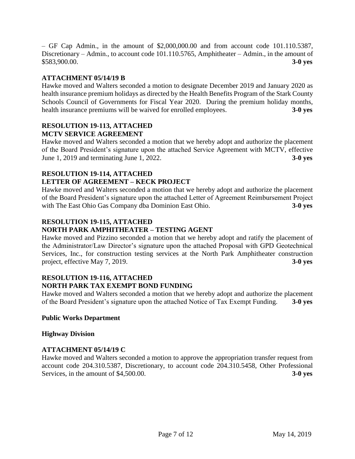– GF Cap Admin., in the amount of \$2,000,000.00 and from account code 101.110.5387, Discretionary – Admin., to account code 101.110.5765, Amphitheater – Admin., in the amount of \$583,900.00. **3-0 yes**

### **ATTACHMENT 05/14/19 B**

Hawke moved and Walters seconded a motion to designate December 2019 and January 2020 as health insurance premium holidays as directed by the Health Benefits Program of the Stark County Schools Council of Governments for Fiscal Year 2020. During the premium holiday months, health insurance premiums will be waived for enrolled employees. **3-0 yes**

#### **RESOLUTION 19-113, ATTACHED MCTV SERVICE AGREEMENT**

Hawke moved and Walters seconded a motion that we hereby adopt and authorize the placement of the Board President's signature upon the attached Service Agreement with MCTV, effective June 1, 2019 and terminating June 1, 2022. **3-0 yes**

# **RESOLUTION 19-114, ATTACHED LETTER OF AGREEMENT – KECK PROJECT**

Hawke moved and Walters seconded a motion that we hereby adopt and authorize the placement of the Board President's signature upon the attached Letter of Agreement Reimbursement Project with The East Ohio Gas Company dba Dominion East Ohio. **3-0 yes**

## **RESOLUTION 19-115, ATTACHED**

## **NORTH PARK AMPHITHEATER – TESTING AGENT**

Hawke moved and Pizzino seconded a motion that we hereby adopt and ratify the placement of the Administrator/Law Director's signature upon the attached Proposal with GPD Geotechnical Services, Inc., for construction testing services at the North Park Amphitheater construction project, effective May 7, 2019. **3-0 yes**

#### **RESOLUTION 19-116, ATTACHED NORTH PARK TAX EXEMPT BOND FUNDING**

Hawke moved and Walters seconded a motion that we hereby adopt and authorize the placement of the Board President's signature upon the attached Notice of Tax Exempt Funding. **3-0 yes**

### **Public Works Department**

#### **Highway Division**

### **ATTACHMENT 05/14/19 C**

Hawke moved and Walters seconded a motion to approve the appropriation transfer request from account code 204.310.5387, Discretionary, to account code 204.310.5458, Other Professional Services, in the amount of \$4,500.00. **3-0 yes**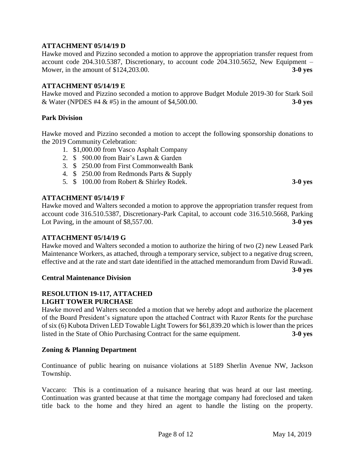### **ATTACHMENT 05/14/19 D**

Hawke moved and Pizzino seconded a motion to approve the appropriation transfer request from account code 204.310.5387, Discretionary, to account code 204.310.5652, New Equipment – Mower, in the amount of \$124,203.00. **3-0 yes**

#### **ATTACHMENT 05/14/19 E**

Hawke moved and Pizzino seconded a motion to approve Budget Module 2019-30 for Stark Soil & Water (NPDES #4 & #5) in the amount of \$4,500.00. **3-0 yes**

#### **Park Division**

Hawke moved and Pizzino seconded a motion to accept the following sponsorship donations to the 2019 Community Celebration:

- 1. \$1,000.00 from Vasco Asphalt Company
- 2. \$ 500.00 from Bair's Lawn & Garden
- 3. \$ 250.00 from First Commonwealth Bank
- 4. \$ 250.00 from Redmonds Parts & Supply
- 5. \$ 100.00 from Robert & Shirley Rodek. **3-0 yes**

### **ATTACHMENT 05/14/19 F**

Hawke moved and Walters seconded a motion to approve the appropriation transfer request from account code 316.510.5387, Discretionary-Park Capital, to account code 316.510.5668, Parking Lot Paving, in the amount of \$8,557.00. **3-0 yes**

#### **ATTACHMENT 05/14/19 G**

Hawke moved and Walters seconded a motion to authorize the hiring of two (2) new Leased Park Maintenance Workers, as attached, through a temporary service, subject to a negative drug screen, effective and at the rate and start date identified in the attached memorandum from David Ruwadi.

#### **Central Maintenance Division**

### **RESOLUTION 19-117, ATTACHED LIGHT TOWER PURCHASE**

Hawke moved and Walters seconded a motion that we hereby adopt and authorize the placement of the Board President's signature upon the attached Contract with Razor Rents for the purchase of six (6) Kubota Driven LED Towable Light Towers for \$61,839.20 which is lower than the prices listed in the State of Ohio Purchasing Contract for the same equipment. **3-0 yes**

#### **Zoning & Planning Department**

Continuance of public hearing on nuisance violations at 5189 Sherlin Avenue NW, Jackson Township.

Vaccaro: This is a continuation of a nuisance hearing that was heard at our last meeting. Continuation was granted because at that time the mortgage company had foreclosed and taken title back to the home and they hired an agent to handle the listing on the property.

**3-0 yes**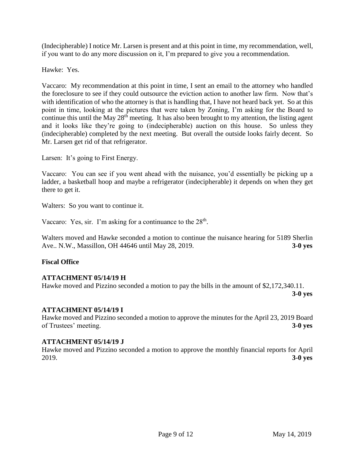(Indecipherable) I notice Mr. Larsen is present and at this point in time, my recommendation, well, if you want to do any more discussion on it, I'm prepared to give you a recommendation.

Hawke: Yes.

Vaccaro: My recommendation at this point in time, I sent an email to the attorney who handled the foreclosure to see if they could outsource the eviction action to another law firm. Now that's with identification of who the attorney is that is handling that, I have not heard back yet. So at this point in time, looking at the pictures that were taken by Zoning, I'm asking for the Board to continue this until the May  $28<sup>th</sup>$  meeting. It has also been brought to my attention, the listing agent and it looks like they're going to (indecipherable) auction on this house. So unless they (indecipherable) completed by the next meeting. But overall the outside looks fairly decent. So Mr. Larsen get rid of that refrigerator.

Larsen: It's going to First Energy.

Vaccaro: You can see if you went ahead with the nuisance, you'd essentially be picking up a ladder, a basketball hoop and maybe a refrigerator (indecipherable) it depends on when they get there to get it.

Walters: So you want to continue it.

Vaccaro: Yes, sir. I'm asking for a continuance to the 28<sup>th</sup>.

Walters moved and Hawke seconded a motion to continue the nuisance hearing for 5189 Sherlin Ave.. N.W., Massillon, OH 44646 until May 28, 2019. **3-0 yes**

### **Fiscal Office**

#### **ATTACHMENT 05/14/19 H**

Hawke moved and Pizzino seconded a motion to pay the bills in the amount of \$2,172,340.11. **3-0 yes**

#### **ATTACHMENT 05/14/19 I**

Hawke moved and Pizzino seconded a motion to approve the minutes for the April 23, 2019 Board of Trustees' meeting. **3-0 yes**

#### **ATTACHMENT 05/14/19 J**

Hawke moved and Pizzino seconded a motion to approve the monthly financial reports for April 2019. **3-0 yes**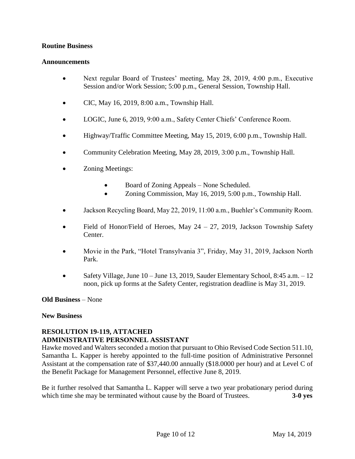### **Routine Business**

#### **Announcements**

- Next regular Board of Trustees' meeting, May 28, 2019, 4:00 p.m., Executive Session and/or Work Session; 5:00 p.m., General Session, Township Hall.
- CIC, May 16, 2019, 8:00 a.m., Township Hall.
- LOGIC, June 6, 2019, 9:00 a.m., Safety Center Chiefs' Conference Room.
- Highway/Traffic Committee Meeting, May 15, 2019, 6:00 p.m., Township Hall.
- Community Celebration Meeting, May 28, 2019, 3:00 p.m., Township Hall.
- **Zoning Meetings:** 
	- Board of Zoning Appeals None Scheduled.
	- Zoning Commission, May 16, 2019, 5:00 p.m., Township Hall.
- Jackson Recycling Board, May 22, 2019, 11:00 a.m., Buehler's Community Room.
- Field of Honor/Field of Heroes, May  $24 27$ , 2019, Jackson Township Safety Center.
- Movie in the Park, "Hotel Transylvania 3", Friday, May 31, 2019, Jackson North Park.
- Safety Village, June 10 June 13, 2019, Sauder Elementary School, 8:45 a.m. 12 noon, pick up forms at the Safety Center, registration deadline is May 31, 2019.

#### **Old Business** – None

#### **New Business**

### **RESOLUTION 19-119, ATTACHED ADMINISTRATIVE PERSONNEL ASSISTANT**

Hawke moved and Walters seconded a motion that pursuant to Ohio Revised Code Section 511.10, Samantha L. Kapper is hereby appointed to the full-time position of Administrative Personnel Assistant at the compensation rate of \$37,440.00 annually (\$18.0000 per hour) and at Level C of the Benefit Package for Management Personnel, effective June 8, 2019.

Be it further resolved that Samantha L. Kapper will serve a two year probationary period during which time she may be terminated without cause by the Board of Trustees. **3-0 yes**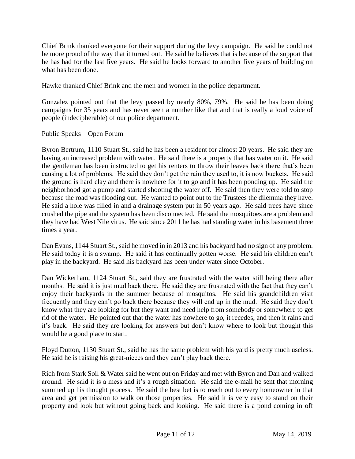Chief Brink thanked everyone for their support during the levy campaign. He said he could not be more proud of the way that it turned out. He said he believes that is because of the support that he has had for the last five years. He said he looks forward to another five years of building on what has been done.

Hawke thanked Chief Brink and the men and women in the police department.

Gonzalez pointed out that the levy passed by nearly 80%, 79%. He said he has been doing campaigns for 35 years and has never seen a number like that and that is really a loud voice of people (indecipherable) of our police department.

Public Speaks – Open Forum

Byron Bertrum, 1110 Stuart St., said he has been a resident for almost 20 years. He said they are having an increased problem with water. He said there is a property that has water on it. He said the gentleman has been instructed to get his renters to throw their leaves back there that's been causing a lot of problems. He said they don't get the rain they used to, it is now buckets. He said the ground is hard clay and there is nowhere for it to go and it has been ponding up. He said the neighborhood got a pump and started shooting the water off. He said then they were told to stop because the road was flooding out. He wanted to point out to the Trustees the dilemma they have. He said a hole was filled in and a drainage system put in 50 years ago. He said trees have since crushed the pipe and the system has been disconnected. He said the mosquitoes are a problem and they have had West Nile virus. He said since 2011 he has had standing water in his basement three times a year.

Dan Evans, 1144 Stuart St., said he moved in in 2013 and his backyard had no sign of any problem. He said today it is a swamp. He said it has continually gotten worse. He said his children can't play in the backyard. He said his backyard has been under water since October.

Dan Wickerham, 1124 Stuart St., said they are frustrated with the water still being there after months. He said it is just mud back there. He said they are frustrated with the fact that they can't enjoy their backyards in the summer because of mosquitos. He said his grandchildren visit frequently and they can't go back there because they will end up in the mud. He said they don't know what they are looking for but they want and need help from somebody or somewhere to get rid of the water. He pointed out that the water has nowhere to go, it recedes, and then it rains and it's back. He said they are looking for answers but don't know where to look but thought this would be a good place to start.

Floyd Dutton, 1130 Stuart St., said he has the same problem with his yard is pretty much useless. He said he is raising his great-nieces and they can't play back there.

Rich from Stark Soil & Water said he went out on Friday and met with Byron and Dan and walked around. He said it is a mess and it's a rough situation. He said the e-mail he sent that morning summed up his thought process. He said the best bet is to reach out to every homeowner in that area and get permission to walk on those properties. He said it is very easy to stand on their property and look but without going back and looking. He said there is a pond coming in off